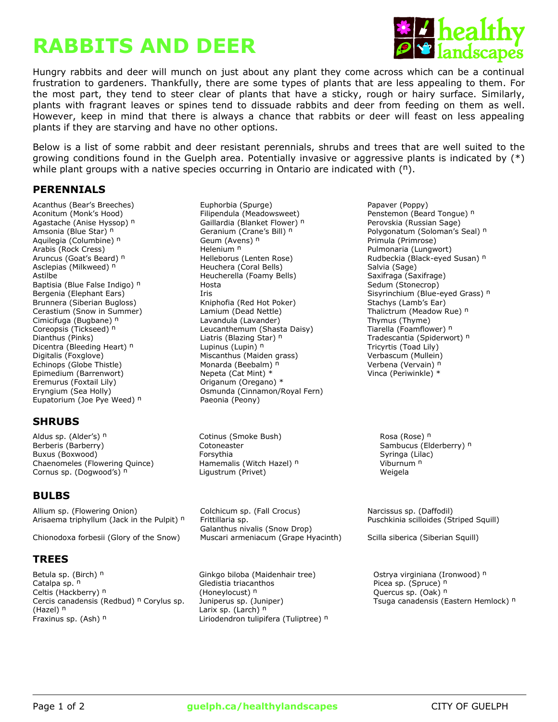# **RABBITS AND DEER**



Hungry rabbits and deer will munch on just about any plant they come across which can be a continual frustration to gardeners. Thankfully, there are some types of plants that are less appealing to them. For the most part, they tend to steer clear of plants that have a sticky, rough or hairy surface. Similarly, plants with fragrant leaves or spines tend to dissuade rabbits and deer from feeding on them as well. However, keep in mind that there is always a chance that rabbits or deer will feast on less appealing plants if they are starving and have no other options.

Below is a list of some rabbit and deer resistant perennials, shrubs and trees that are well suited to the growing conditions found in the Guelph area. Potentially invasive or aggressive plants is indicated by (\*) while plant groups with a native species occurring in Ontario are indicated with  $(<sup>n</sup>)$ .

# **PERENNIALS**

Coreopsis (Tickseed) <sup>n</sup> Leucanthemum (Shasta Daisy) Dianthus (Pinks) **n** Liatris (Blazing Star) <sup>n</sup> Dicentra (Bleeding Heart) <sup>n</sup> Lupinus (Lupin) <sup>n</sup> Eremurus (Foxtail Lily) Criganum (Oregano) \* Eupatorium (Joe Pye Weed) <sup>n</sup> Paeonia (Peony)

# **SHRUBS**

Aldus sp. (Alder's) <sup>n</sup> Cotinus (Smoke Bush) Rosa (Rose) <sup>n</sup> Berberis (Barberry) **Cotoneaster** Cotoneaster Sambucus (Elderberry) n Sambucus (Elderberry) n Buxus (Boxwood) Forsythia Syringa (Lilac) Buxus (Boxwood) Syringa (Lilac) Chaenomeles (Flowering Quince) The Hamemalis (Witch Hazel) n and Muslimum n Viburnum n Cornus sp. (Dogwood's) <sup>n</sup> Ligustrum (Privet) and Meigela

# **BULBS**

Allium sp. (Flowering Onion) Colchicum sp. (Fall Crocus) Narcissus sp. (Daffodil) Arisaema triphyllum (Jack in the Pulpit)  $n =$  Frittillaria sp.

Chionodoxa forbesii (Glory of the Snow) Muscari armeniacum (Grape Hyacinth) Scilla siberica (Siberian Squill)

# **TREES**

Betula sp. (Birch) <sup>n</sup> Ginkgo biloba (Maidenhair tree) Gistrya virginiana (Ironwood) n Catalpa sp. n Celtis (Hackberry) n Cercis canadensis (Redbud) <sup>n</sup> Corylus sp. (Hazel) n Fraxinus sp. (Ash) <sup>n</sup> and Liriodendron tulipifera (Tuliptree) <sup>n</sup>

Acanthus (Bear's Breeches) Euphorbia (Spurge) Papaver (Poppy) Aconitum (Monk's Hood) Filipendula (Meadowsweet) Penstemon (Beard Tongue) n Controlled Meadowsweet Activities Agastache (Anise Hyssop) <sup>n</sup> Gaillardia (Blanket Flower) <sup>n</sup> Perovskia (Russian Sage) Amsonia (Blue Star) <sup>n</sup> Geranium (Crane's Bill) <sup>n</sup> Polygonatum (Soloman's Seal) <sup>n</sup> Aquilegia (Columbine) <sup>n</sup> Geum (Avens) <sup>n</sup> Primula (Primrose) Arabis (Rock Cress) The Rock Cress Helenium <sup>n</sup> New York Bulmonaria (Lungwort) en Pulmonaria (Pulmonaria (Pulmonaria (Pulmonaria (Pulmonaria (Pulmonaria (Pulmonaria (Pulmonaria (Pulmonaria (Pulmonaria (Pulmonaria (Pulmonar Aruncus (Goat's Beard) <sup>n</sup> helleborus (Lenten Rose) Rudbeckia (Black-eyed Susan) <sup>n</sup> Asclepias (Milkweed) <sup>n</sup> Theuchera (Coral Bells) Salvia (Sage) Salvia (Sage) Astilbe **East Communist Communist Club** Heucherella (Foamy Bells) Saxifraga (Saxifrage) Baptisia (Blue False Indigo) <sup>n</sup> Mosta Hosta New York Sedum (Stonecrop) and Sedum (Stonecrop) Brunnera (Siberian Bugloss) Kniphofia (Red Hot Poker) Stachys (Lamb's Ear) Lamium (Dead Nettle) **Christian Summer in Summer in Summer** Thalictrum (Meadow Rue) <sup>n</sup><br>
Lavandula (Lavander) **Thalictrum Thymus (Thyme)** Cimicifuga (Bugbane) <sup>n</sup> Lavandula (Lavander) 1995 - Thymus (Thyme) Thymus (Thyme) Coreopsis (Tickseed) <sup>n</sup> Leucanthemum (Shasta Daisy) 1996 - Tiarella (Foamflower) <sup>n</sup> Digitalis (Foxglove) Miscanthus (Maiden grass) Verbascum (Mullein) Echinops (Globe Thistle) Monarda (Beebalm) n verbena (Vervain) n Verbena (Vervain) n Epimedium (Barrenwort)  $\qquad \qquad$  Nepeta (Cat Mint) \*  $\qquad \qquad$  Vinca (Periwinkle) \* Eryngium (Sea Holly) **Canal Accord Communica** (Cinnamon/Royal Fern)

Galanthus nivalis (Snow Drop)

Gledistia triacanthos (Honeylocust) n Juniperus sp. (Juniper) Larix sp. (Larch) <sup>n</sup>

Bergenia (Elephant Ears) **Iris** Iris Sisyrinchium (Blue-eyed Grass) n Tradescantia (Spiderwort) <sup>n</sup> Tricyrtis (Toad Lily)

Puschkinia scilloides (Striped Squill)

Picea sp. (Spruce) <sup>n</sup> Quercus sp. (Oak) <sup>n</sup> Tsuga canadensis (Eastern Hemlock) <sup>n</sup>